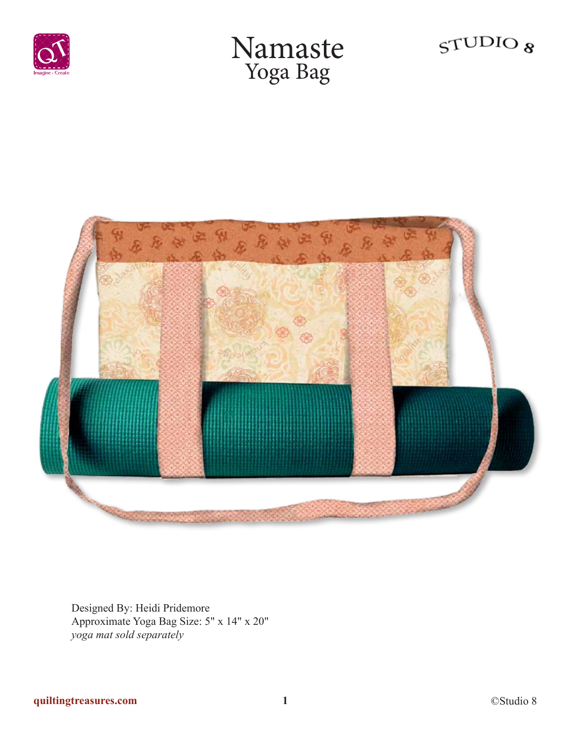

## Namaste Yoga Bag





Designed By: Heidi Pridemore Approximate Yoga Bag Size: 5" x 14" x 20" *yoga mat sold separately*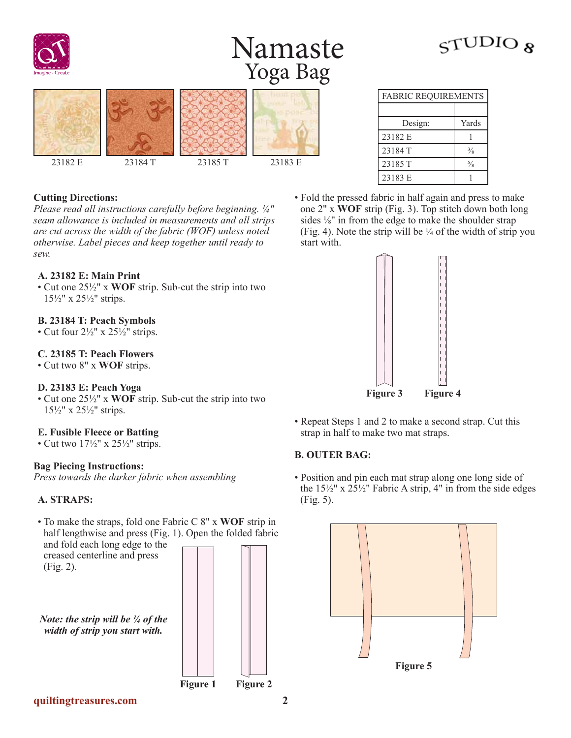

## Namaste Yoga Bag

# 23182 E 23184 T 23185 T 23183 E

| <b>Cutting Directions:</b> |  |
|----------------------------|--|
|----------------------------|--|

*Please read all instructions carefully before beginning. ¼" seam allowance is included in measurements and all strips are cut across the width of the fabric (WOF) unless noted otherwise. Label pieces and keep together until ready to sew.*

#### **A. 23182 E: Main Print**

• Cut one 25½" x **WOF** strip. Sub-cut the strip into two 15½" x 25½" strips.

#### **B. 23184 T: Peach Symbols**

• Cut four  $2\frac{1}{2}$ " x  $25\frac{1}{2}$ " strips.

#### **C. 23185 T: Peach Flowers**

• Cut two 8" x **WOF** strips.

#### **D. 23183 E: Peach Yoga**

• Cut one 25½" x **WOF** strip. Sub-cut the strip into two 15½" x 25½" strips.

#### **E. Fusible Fleece or Batting**

• Cut two  $17\frac{1}{2}$ " x  $25\frac{1}{2}$ " strips.

#### **Bag Piecing Instructions:**

*Press towards the darker fabric when assembling*

#### **A. STRAPS:**

• To make the straps, fold one Fabric C 8" x **WOF** strip in half lengthwise and press (Fig. 1). Open the folded fabric and fold each long edge to the

creased centerline and press (Fig. 2).

*Note: the strip will be ¼ of the width of strip you start with.*



| <b>FABRIC REQUIREMENTS</b> |               |
|----------------------------|---------------|
|                            |               |
| Design:                    | Yards         |
| 23182 E                    |               |
| 23184 T                    | $\frac{3}{8}$ |
| 23185 T                    | $\frac{5}{8}$ |
| 23183 E                    |               |

• Fold the pressed fabric in half again and press to make one 2" x **WOF** strip (Fig. 3). Top stitch down both long sides ⅛" in from the edge to make the shoulder strap (Fig. 4). Note the strip will be  $\frac{1}{4}$  of the width of strip you start with.



• Repeat Steps 1 and 2 to make a second strap. Cut this strap in half to make two mat straps.

#### **B. OUTER BAG:**

• Position and pin each mat strap along one long side of the  $15\frac{1}{2}$ " x  $25\frac{1}{2}$ " Fabric A strip, 4" in from the side edges (Fig. 5).





**quiltingtreasures.com 2**

 $\varsigma$ TUDIO  $\kappa$